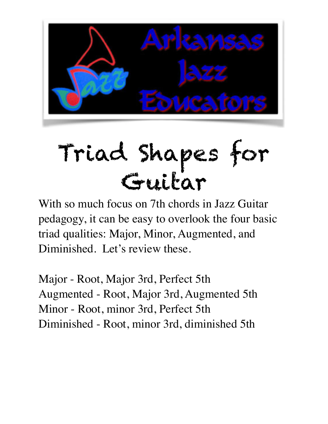

# Triad Shapes for Guitar

With so much focus on 7th chords in Jazz Guitar pedagogy, it can be easy to overlook the four basic triad qualities: Major, Minor, Augmented, and Diminished. Let's review these.

Major - Root, Major 3rd, Perfect 5th Augmented - Root, Major 3rd, Augmented 5th Minor - Root, minor 3rd, Perfect 5th Diminished - Root, minor 3rd, diminished 5th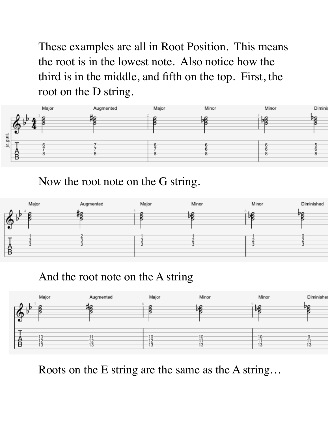These examples are all in Root Position. This means the root is in the lowest note. Also notice how the third is in the middle, and fifth on the top. First, the root on the D string.



Now the root note on the G string.



And the root note on the A string



Roots on the E string are the same as the A string…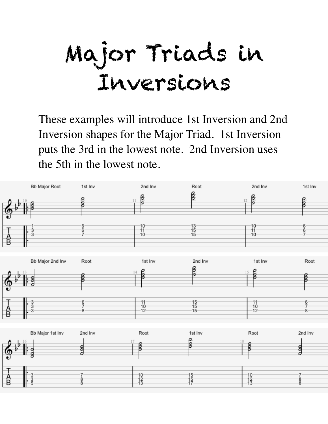Major Triads in Inversions

These examples will introduce 1st Inversion and 2nd Inversion shapes for the Major Triad. 1st Inversion puts the 3rd in the lowest note. 2nd Inversion uses the 5th in the lowest note.

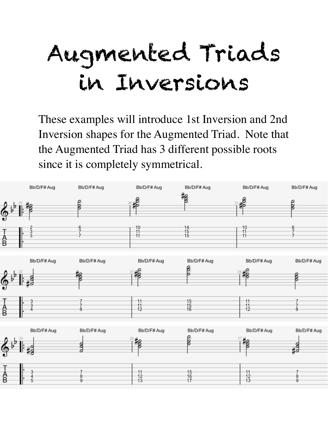## Augmented Triads in Inversions

These examples will introduce 1st Inversion and 2nd Inversion shapes for the Augmented Triad. Note that the Augmented Triad has 3 different possible roots since it is completely symmetrical.

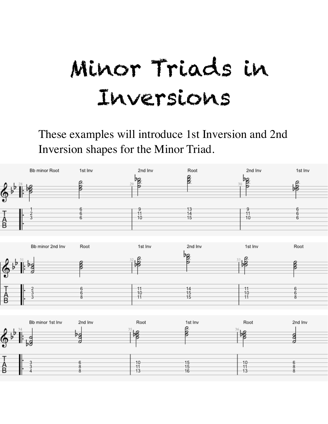### Minor Triads in Inversions

These examples will introduce 1st Inversion and 2nd Inversion shapes for the Minor Triad.

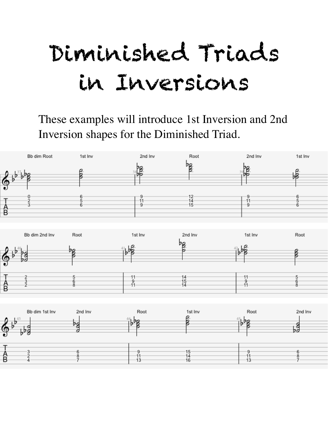### Diminished Triads in Inversions

#### These examples will introduce 1st Inversion and 2nd Inversion shapes for the Diminished Triad.





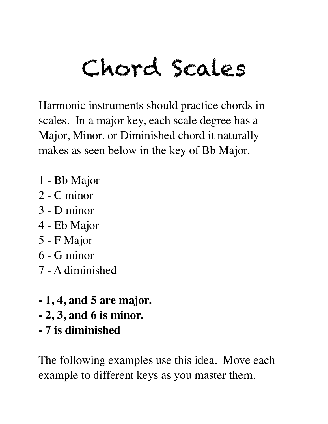# Chord Scales

Harmonic instruments should practice chords in scales. In a major key, each scale degree has a Major, Minor, or Diminished chord it naturally makes as seen below in the key of Bb Major.

- 1 Bb Major
- 2 C minor
- 3 D minor
- 4 Eb Major
- 5 F Major
- 6 G minor
- 7 A diminished
- **1, 4, and 5 are major.**
- **2, 3, and 6 is minor.**
- **7 is diminished**

The following examples use this idea. Move each example to different keys as you master them.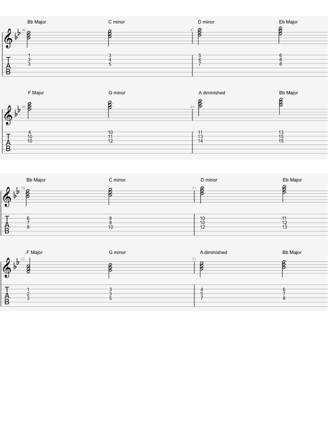





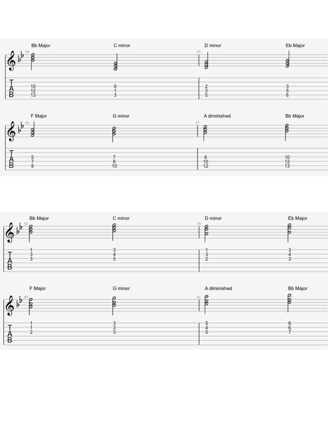





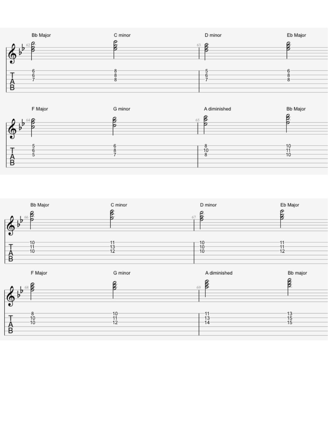



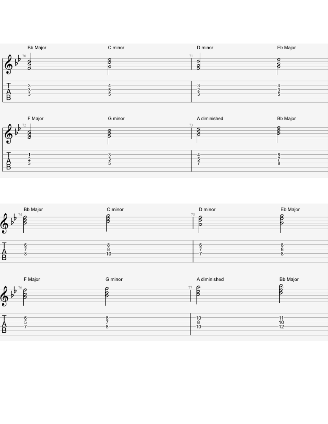





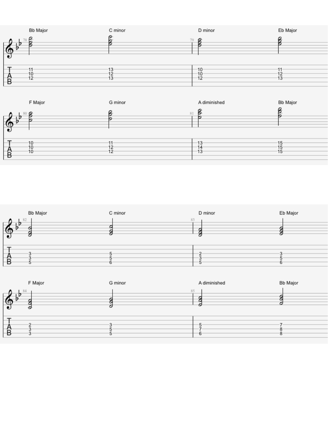





| F Major                  | G minor | A diminished | Bb Major |
|--------------------------|---------|--------------|----------|
| $1 - 84$<br>$\circ$<br>∙ | 85      |              |          |
| r<br>D<br>Ð              |         | ь            | 8        |